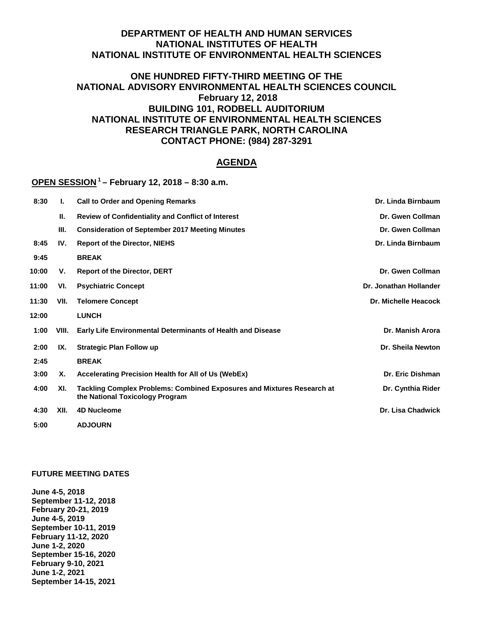# **DEPARTMENT OF HEALTH AND HUMAN SERVICES NATIONAL INSTITUTES OF HEALTH NATIONAL INSTITUTE OF ENVIRONMENTAL HEALTH SCIENCES**

# **ONE HUNDRED FIFTY-THIRD MEETING OF THE NATIONAL ADVISORY ENVIRONMENTAL HEALTH SCIENCES COUNCIL February 12, 2018 BUILDING 101, RODBELL AUDITORIUM NATIONAL INSTITUTE OF ENVIRONMENTAL HEALTH SCIENCES RESEARCH TRIANGLE PARK, NORTH CAROLINA CONTACT PHONE: (984) 287-3291**

### **AGENDA**

# **OPEN SESSION 1 – February 12, 2018 – 8:30 a.m.**

| 8:30  | ı.    | <b>Call to Order and Opening Remarks</b>                                                                         | Dr. Linda Birnbaum     |
|-------|-------|------------------------------------------------------------------------------------------------------------------|------------------------|
|       | П.    | <b>Review of Confidentiality and Conflict of Interest</b>                                                        | Dr. Gwen Collman       |
|       | Ш.    | <b>Consideration of September 2017 Meeting Minutes</b>                                                           | Dr. Gwen Collman       |
| 8:45  | IV.   | <b>Report of the Director, NIEHS</b>                                                                             | Dr. Linda Birnbaum     |
| 9:45  |       | <b>BREAK</b>                                                                                                     |                        |
| 10:00 | V.    | <b>Report of the Director, DERT</b>                                                                              | Dr. Gwen Collman       |
| 11:00 | VI.   | <b>Psychiatric Concept</b>                                                                                       | Dr. Jonathan Hollander |
| 11:30 | VII.  | <b>Telomere Concept</b>                                                                                          | Dr. Michelle Heacock   |
| 12:00 |       | <b>LUNCH</b>                                                                                                     |                        |
| 1:00  | VIII. | Early Life Environmental Determinants of Health and Disease                                                      | Dr. Manish Arora       |
| 2:00  | IX.   | <b>Strategic Plan Follow up</b>                                                                                  | Dr. Sheila Newton      |
| 2:45  |       | <b>BREAK</b>                                                                                                     |                        |
| 3:00  | Χ.    | Accelerating Precision Health for All of Us (WebEx)                                                              | Dr. Eric Dishman       |
| 4:00  | XI.   | <b>Tackling Complex Problems: Combined Exposures and Mixtures Research at</b><br>the National Toxicology Program | Dr. Cynthia Rider      |
| 4:30  | XII.  | <b>4D Nucleome</b>                                                                                               | Dr. Lisa Chadwick      |
| 5:00  |       | <b>ADJOURN</b>                                                                                                   |                        |

#### **FUTURE MEETING DATES**

**June 4-5, 2018 September 11-12, 2018 February 20-21, 2019 June 4-5, 2019 September 10-11, 2019 February 11-12, 2020 June 1-2, 2020 September 15-16, 2020 February 9-10, 2021 June 1-2, 2021 September 14-15, 2021**